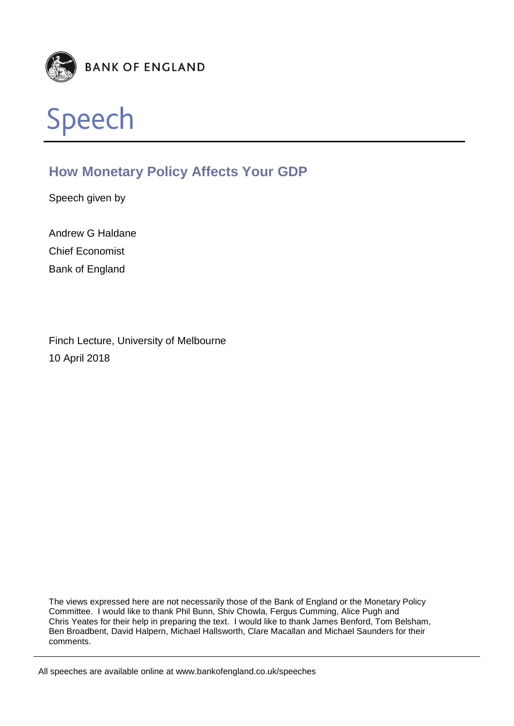



## **How Monetary Policy Affects Your GDP**

Speech given by

Andrew G Haldane Chief Economist Bank of England

Finch Lecture, University of Melbourne 10 April 2018

The views expressed here are not necessarily those of the Bank of England or the Monetary Policy Committee. I would like to thank Phil Bunn, Shiv Chowla, Fergus Cumming, Alice Pugh and Chris Yeates for their help in preparing the text. I would like to thank James Benford, Tom Belsham, Ben Broadbent, David Halpern, Michael Hallsworth, Clare Macallan and Michael Saunders for their comments.

All speeches are available online at www.bankofengland.co.uk/speeches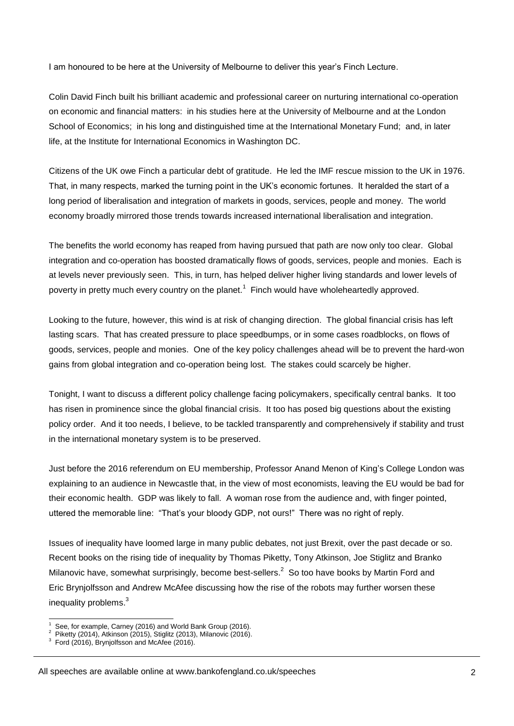I am honoured to be here at the University of Melbourne to deliver this year's Finch Lecture.

Colin David Finch built his brilliant academic and professional career on nurturing international co-operation on economic and financial matters: in his studies here at the University of Melbourne and at the London School of Economics; in his long and distinguished time at the International Monetary Fund; and, in later life, at the Institute for International Economics in Washington DC.

Citizens of the UK owe Finch a particular debt of gratitude. He led the IMF rescue mission to the UK in 1976. That, in many respects, marked the turning point in the UK's economic fortunes. It heralded the start of a long period of liberalisation and integration of markets in goods, services, people and money. The world economy broadly mirrored those trends towards increased international liberalisation and integration.

The benefits the world economy has reaped from having pursued that path are now only too clear. Global integration and co-operation has boosted dramatically flows of goods, services, people and monies. Each is at levels never previously seen. This, in turn, has helped deliver higher living standards and lower levels of poverty in pretty much every country on the planet.<sup>1</sup> Finch would have wholeheartedly approved.

Looking to the future, however, this wind is at risk of changing direction. The global financial crisis has left lasting scars. That has created pressure to place speedbumps, or in some cases roadblocks, on flows of goods, services, people and monies. One of the key policy challenges ahead will be to prevent the hard-won gains from global integration and co-operation being lost. The stakes could scarcely be higher.

Tonight, I want to discuss a different policy challenge facing policymakers, specifically central banks. It too has risen in prominence since the global financial crisis. It too has posed big questions about the existing policy order. And it too needs, I believe, to be tackled transparently and comprehensively if stability and trust in the international monetary system is to be preserved.

Just before the 2016 referendum on EU membership, Professor Anand Menon of King's College London was explaining to an audience in Newcastle that, in the view of most economists, leaving the EU would be bad for their economic health. GDP was likely to fall. A woman rose from the audience and, with finger pointed, uttered the memorable line: "That's your bloody GDP, not ours!" There was no right of reply.

Issues of inequality have loomed large in many public debates, not just Brexit, over the past decade or so. Recent books on the rising tide of inequality by Thomas Piketty, Tony Atkinson, Joe Stiglitz and Branko Milanovic have, somewhat surprisingly, become best-sellers.<sup>2</sup> So too have books by Martin Ford and Eric Brynjolfsson and Andrew McAfee discussing how the rise of the robots may further worsen these inequality problems. $3$ 

1

<sup>1</sup> See, for example, Carney (2016) and World Bank Group (2016).

<sup>2</sup> Piketty (2014), Atkinson (2015), Stiglitz (2013), Milanovic (2016).

<sup>3</sup> Ford (2016), Brynjolfsson and McAfee (2016).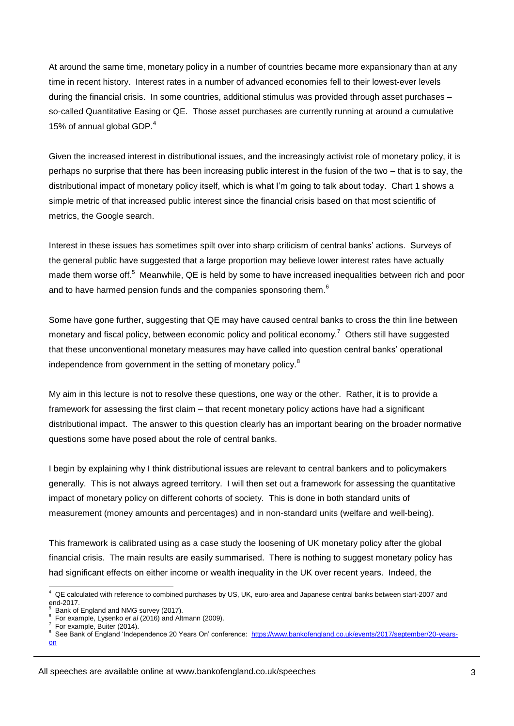At around the same time, monetary policy in a number of countries became more expansionary than at any time in recent history. Interest rates in a number of advanced economies fell to their lowest-ever levels during the financial crisis. In some countries, additional stimulus was provided through asset purchases – so-called Quantitative Easing or QE. Those asset purchases are currently running at around a cumulative 15% of annual global GDP.<sup>4</sup>

Given the increased interest in distributional issues, and the increasingly activist role of monetary policy, it is perhaps no surprise that there has been increasing public interest in the fusion of the two – that is to say, the distributional impact of monetary policy itself, which is what I'm going to talk about today. Chart 1 shows a simple metric of that increased public interest since the financial crisis based on that most scientific of metrics, the Google search.

Interest in these issues has sometimes spilt over into sharp criticism of central banks' actions. Surveys of the general public have suggested that a large proportion may believe lower interest rates have actually made them worse off.<sup>5</sup> Meanwhile, QE is held by some to have increased inequalities between rich and poor and to have harmed pension funds and the companies sponsoring them.<sup>6</sup>

Some have gone further, suggesting that QE may have caused central banks to cross the thin line between monetary and fiscal policy, between economic policy and political economy.<sup>7</sup> Others still have suggested that these unconventional monetary measures may have called into question central banks' operational independence from government in the setting of monetary policy.<sup>8</sup>

My aim in this lecture is not to resolve these questions, one way or the other. Rather, it is to provide a framework for assessing the first claim – that recent monetary policy actions have had a significant distributional impact. The answer to this question clearly has an important bearing on the broader normative questions some have posed about the role of central banks.

I begin by explaining why I think distributional issues are relevant to central bankers and to policymakers generally. This is not always agreed territory. I will then set out a framework for assessing the quantitative impact of monetary policy on different cohorts of society. This is done in both standard units of measurement (money amounts and percentages) and in non-standard units (welfare and well-being).

This framework is calibrated using as a case study the loosening of UK monetary policy after the global financial crisis. The main results are easily summarised. There is nothing to suggest monetary policy has had significant effects on either income or wealth inequality in the UK over recent years. Indeed, the

-

<sup>4</sup> QE calculated with reference to combined purchases by US, UK, euro-area and Japanese central banks between start-2007 and end-2017. 5

Bank of England and NMG survey (2017). 6

For example, Lysenko *et al* (2016) and Altmann (2009). 7

For example, Buiter (2014).

<sup>8</sup> See Bank of England 'Independence 20 Years On' conference: [https://www.bankofengland.co.uk/events/2017/september/20-years](https://www.bankofengland.co.uk/events/2017/september/20-years-on)[on](https://www.bankofengland.co.uk/events/2017/september/20-years-on)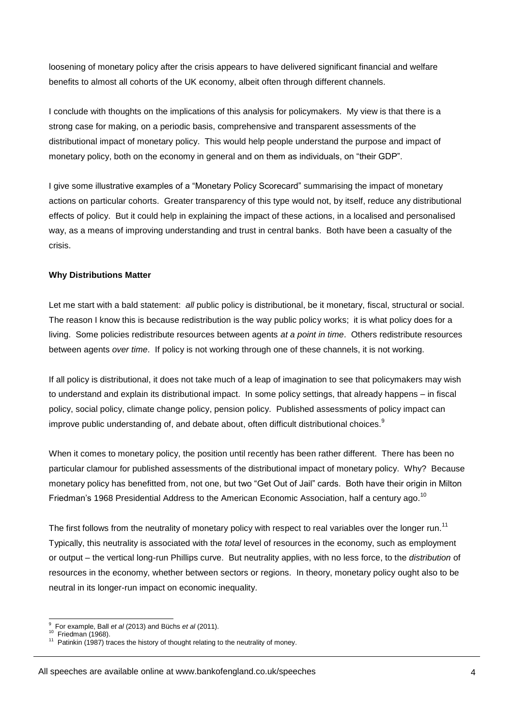loosening of monetary policy after the crisis appears to have delivered significant financial and welfare benefits to almost all cohorts of the UK economy, albeit often through different channels.

I conclude with thoughts on the implications of this analysis for policymakers. My view is that there is a strong case for making, on a periodic basis, comprehensive and transparent assessments of the distributional impact of monetary policy. This would help people understand the purpose and impact of monetary policy, both on the economy in general and on them as individuals, on "their GDP".

I give some illustrative examples of a "Monetary Policy Scorecard" summarising the impact of monetary actions on particular cohorts. Greater transparency of this type would not, by itself, reduce any distributional effects of policy. But it could help in explaining the impact of these actions, in a localised and personalised way, as a means of improving understanding and trust in central banks. Both have been a casualty of the crisis.

#### **Why Distributions Matter**

Let me start with a bald statement: *all* public policy is distributional, be it monetary, fiscal, structural or social. The reason I know this is because redistribution is the way public policy works; it is what policy does for a living. Some policies redistribute resources between agents *at a point in time*. Others redistribute resources between agents *over time*. If policy is not working through one of these channels, it is not working.

If all policy is distributional, it does not take much of a leap of imagination to see that policymakers may wish to understand and explain its distributional impact. In some policy settings, that already happens – in fiscal policy, social policy, climate change policy, pension policy. Published assessments of policy impact can improve public understanding of, and debate about, often difficult distributional choices.<sup>9</sup>

When it comes to monetary policy, the position until recently has been rather different. There has been no particular clamour for published assessments of the distributional impact of monetary policy. Why? Because monetary policy has benefitted from, not one, but two "Get Out of Jail" cards. Both have their origin in Milton Friedman's 1968 Presidential Address to the American Economic Association, half a century ago.<sup>10</sup>

The first follows from the neutrality of monetary policy with respect to real variables over the longer run.<sup>11</sup> Typically, this neutrality is associated with the *total* level of resources in the economy, such as employment or output – the vertical long-run Phillips curve. But neutrality applies, with no less force, to the *distribution* of resources in the economy, whether between sectors or regions. In theory, monetary policy ought also to be neutral in its longer-run impact on economic inequality.

<sup>1</sup> 9 For example, Ball *et al* (2013) and Büchs *et al* (2011).

 $^{10}$  Friedman (1968).

Patinkin (1987) traces the history of thought relating to the neutrality of money.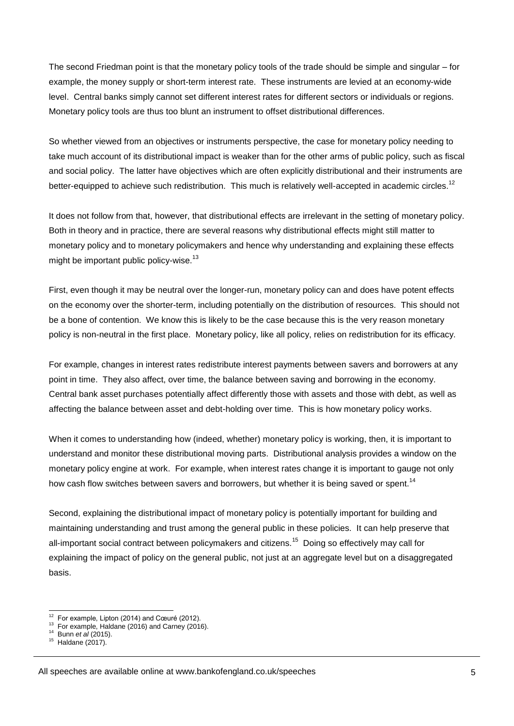The second Friedman point is that the monetary policy tools of the trade should be simple and singular – for example, the money supply or short-term interest rate. These instruments are levied at an economy-wide level. Central banks simply cannot set different interest rates for different sectors or individuals or regions. Monetary policy tools are thus too blunt an instrument to offset distributional differences.

So whether viewed from an objectives or instruments perspective, the case for monetary policy needing to take much account of its distributional impact is weaker than for the other arms of public policy, such as fiscal and social policy. The latter have objectives which are often explicitly distributional and their instruments are better-equipped to achieve such redistribution. This much is relatively well-accepted in academic circles.<sup>12</sup>

It does not follow from that, however, that distributional effects are irrelevant in the setting of monetary policy. Both in theory and in practice, there are several reasons why distributional effects might still matter to monetary policy and to monetary policymakers and hence why understanding and explaining these effects might be important public policy-wise. $^{13}$ 

First, even though it may be neutral over the longer-run, monetary policy can and does have potent effects on the economy over the shorter-term, including potentially on the distribution of resources. This should not be a bone of contention. We know this is likely to be the case because this is the very reason monetary policy is non-neutral in the first place. Monetary policy, like all policy, relies on redistribution for its efficacy.

For example, changes in interest rates redistribute interest payments between savers and borrowers at any point in time. They also affect, over time, the balance between saving and borrowing in the economy. Central bank asset purchases potentially affect differently those with assets and those with debt, as well as affecting the balance between asset and debt-holding over time. This is how monetary policy works.

When it comes to understanding how (indeed, whether) monetary policy is working, then, it is important to understand and monitor these distributional moving parts. Distributional analysis provides a window on the monetary policy engine at work. For example, when interest rates change it is important to gauge not only how cash flow switches between savers and borrowers, but whether it is being saved or spent.<sup>14</sup>

Second, explaining the distributional impact of monetary policy is potentially important for building and maintaining understanding and trust among the general public in these policies. It can help preserve that all-important social contract between policymakers and citizens.<sup>15</sup> Doing so effectively may call for explaining the impact of policy on the general public, not just at an aggregate level but on a disaggregated basis.

 $\frac{1}{12}$ For example, Lipton (2014) and Cœuré (2012).

<sup>&</sup>lt;sup>13</sup> For example, Haldane (2016) and Carney (2016).

<sup>14</sup> Bunn *et al* (2015).

 $15$  Haldane (2017).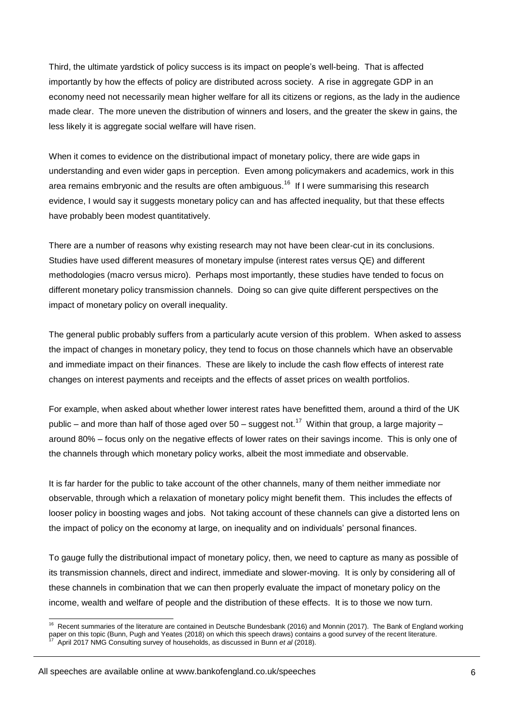Third, the ultimate yardstick of policy success is its impact on people's well-being. That is affected importantly by how the effects of policy are distributed across society. A rise in aggregate GDP in an economy need not necessarily mean higher welfare for all its citizens or regions, as the lady in the audience made clear. The more uneven the distribution of winners and losers, and the greater the skew in gains, the less likely it is aggregate social welfare will have risen.

When it comes to evidence on the distributional impact of monetary policy, there are wide gaps in understanding and even wider gaps in perception. Even among policymakers and academics, work in this area remains embryonic and the results are often ambiguous.<sup>16</sup> If I were summarising this research evidence, I would say it suggests monetary policy can and has affected inequality, but that these effects have probably been modest quantitatively.

There are a number of reasons why existing research may not have been clear-cut in its conclusions. Studies have used different measures of monetary impulse (interest rates versus QE) and different methodologies (macro versus micro). Perhaps most importantly, these studies have tended to focus on different monetary policy transmission channels. Doing so can give quite different perspectives on the impact of monetary policy on overall inequality.

The general public probably suffers from a particularly acute version of this problem. When asked to assess the impact of changes in monetary policy, they tend to focus on those channels which have an observable and immediate impact on their finances. These are likely to include the cash flow effects of interest rate changes on interest payments and receipts and the effects of asset prices on wealth portfolios.

For example, when asked about whether lower interest rates have benefitted them, around a third of the UK public – and more than half of those aged over 50 – suggest not.<sup>17</sup> Within that group, a large majority – around 80% – focus only on the negative effects of lower rates on their savings income. This is only one of the channels through which monetary policy works, albeit the most immediate and observable.

It is far harder for the public to take account of the other channels, many of them neither immediate nor observable, through which a relaxation of monetary policy might benefit them. This includes the effects of looser policy in boosting wages and jobs. Not taking account of these channels can give a distorted lens on the impact of policy on the economy at large, on inequality and on individuals' personal finances.

To gauge fully the distributional impact of monetary policy, then, we need to capture as many as possible of its transmission channels, direct and indirect, immediate and slower-moving. It is only by considering all of these channels in combination that we can then properly evaluate the impact of monetary policy on the income, wealth and welfare of people and the distribution of these effects. It is to those we now turn.

 16 Recent summaries of the literature are contained in Deutsche Bundesbank (2016) and Monnin (2017). The Bank of England working paper on this topic (Bunn, Pugh and Yeates (2018) on which this speech draws) contains a good survey of the recent literature.<br><sup>17</sup> April 2017 NMC Consulting survey of have halds as discussed in Runn at al (2019). April 2017 NMG Consulting survey of households, as discussed in Bunn *et al* (2018).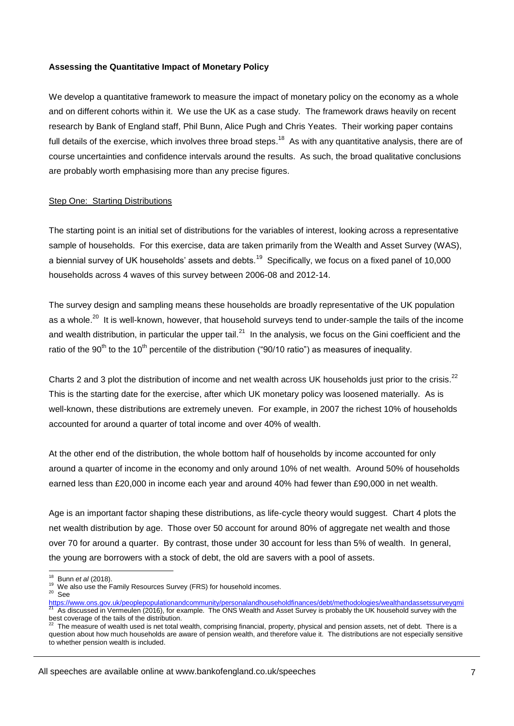#### **Assessing the Quantitative Impact of Monetary Policy**

We develop a quantitative framework to measure the impact of monetary policy on the economy as a whole and on different cohorts within it. We use the UK as a case study. The framework draws heavily on recent research by Bank of England staff, Phil Bunn, Alice Pugh and Chris Yeates. Their working paper contains full details of the exercise, which involves three broad steps.<sup>18</sup> As with any quantitative analysis, there are of course uncertainties and confidence intervals around the results. As such, the broad qualitative conclusions are probably worth emphasising more than any precise figures.

#### **Step One: Starting Distributions**

The starting point is an initial set of distributions for the variables of interest, looking across a representative sample of households. For this exercise, data are taken primarily from the Wealth and Asset Survey (WAS), a biennial survey of UK households' assets and debts.<sup>19</sup> Specifically, we focus on a fixed panel of 10,000 households across 4 waves of this survey between 2006-08 and 2012-14.

The survey design and sampling means these households are broadly representative of the UK population as a whole.<sup>20</sup> It is well-known, however, that household surveys tend to under-sample the tails of the income and wealth distribution, in particular the upper tail.<sup>21</sup> In the analysis, we focus on the Gini coefficient and the ratio of the 90<sup>th</sup> to the 10<sup>th</sup> percentile of the distribution ("90/10 ratio") as measures of inequality.

Charts 2 and 3 plot the distribution of income and net wealth across UK households just prior to the crisis.<sup>22</sup> This is the starting date for the exercise, after which UK monetary policy was loosened materially. As is well-known, these distributions are extremely uneven. For example, in 2007 the richest 10% of households accounted for around a quarter of total income and over 40% of wealth.

At the other end of the distribution, the whole bottom half of households by income accounted for only around a quarter of income in the economy and only around 10% of net wealth. Around 50% of households earned less than £20,000 in income each year and around 40% had fewer than £90,000 in net wealth.

Age is an important factor shaping these distributions, as life-cycle theory would suggest. Chart 4 plots the net wealth distribution by age. Those over 50 account for around 80% of aggregate net wealth and those over 70 for around a quarter. By contrast, those under 30 account for less than 5% of wealth. In general, the young are borrowers with a stock of debt, the old are savers with a pool of assets.

 18 Bunn *et al* (2018).

<sup>&</sup>lt;sup>19</sup> We also use the Family Resources Survey (FRS) for household incomes.

<sup>20</sup> See

<sup>&</sup>lt;u><https://www.ons.gov.uk/peoplepopulationandcommunity/personalandhouseholdfinances/debt/methodologies/wealthandassetssurveyqmi><br><sup>21</sup> As discussed in Vermeulen (2016), for example. The ONS Wealth and Asset Survey is probably</u>

best coverage of the tails of the distribution.<br><sup>22</sup> The magaure of wealth upod is not total. The measure of wealth used is net total wealth, comprising financial, property, physical and pension assets, net of debt. There is a question about how much households are aware of pension wealth, and therefore value it. The distributions are not especially sensitive to whether pension wealth is included.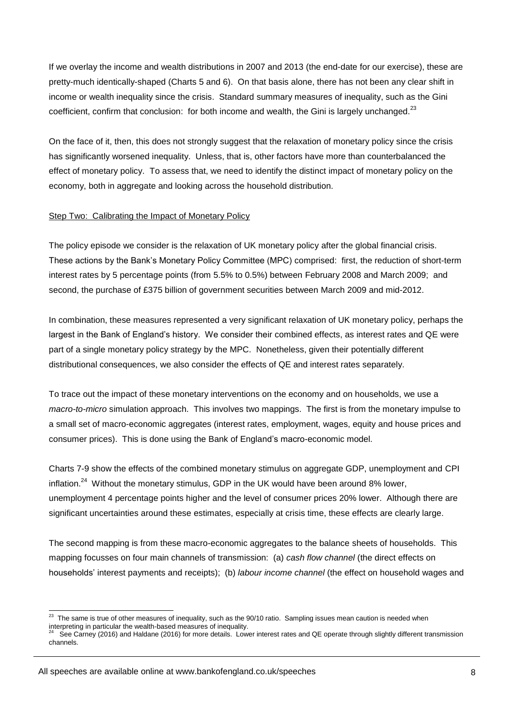If we overlay the income and wealth distributions in 2007 and 2013 (the end-date for our exercise), these are pretty-much identically-shaped (Charts 5 and 6). On that basis alone, there has not been any clear shift in income or wealth inequality since the crisis. Standard summary measures of inequality, such as the Gini coefficient, confirm that conclusion: for both income and wealth, the Gini is largely unchanged.<sup>23</sup>

On the face of it, then, this does not strongly suggest that the relaxation of monetary policy since the crisis has significantly worsened inequality. Unless, that is, other factors have more than counterbalanced the effect of monetary policy. To assess that, we need to identify the distinct impact of monetary policy on the economy, both in aggregate and looking across the household distribution.

#### Step Two: Calibrating the Impact of Monetary Policy

The policy episode we consider is the relaxation of UK monetary policy after the global financial crisis. These actions by the Bank's Monetary Policy Committee (MPC) comprised: first, the reduction of short-term interest rates by 5 percentage points (from 5.5% to 0.5%) between February 2008 and March 2009; and second, the purchase of £375 billion of government securities between March 2009 and mid-2012.

In combination, these measures represented a very significant relaxation of UK monetary policy, perhaps the largest in the Bank of England's history. We consider their combined effects, as interest rates and QE were part of a single monetary policy strategy by the MPC. Nonetheless, given their potentially different distributional consequences, we also consider the effects of QE and interest rates separately.

To trace out the impact of these monetary interventions on the economy and on households, we use a *macro-to-micro* simulation approach. This involves two mappings. The first is from the monetary impulse to a small set of macro-economic aggregates (interest rates, employment, wages, equity and house prices and consumer prices). This is done using the Bank of England's macro-economic model.

Charts 7-9 show the effects of the combined monetary stimulus on aggregate GDP, unemployment and CPI inflation.<sup>24</sup> Without the monetary stimulus, GDP in the UK would have been around 8% lower, unemployment 4 percentage points higher and the level of consumer prices 20% lower. Although there are significant uncertainties around these estimates, especially at crisis time, these effects are clearly large.

The second mapping is from these macro-economic aggregates to the balance sheets of households. This mapping focusses on four main channels of transmission: (a) *cash flow channel* (the direct effects on households' interest payments and receipts); (b) *labour income channel* (the effect on household wages and

1

<sup>23</sup> The same is true of other measures of inequality, such as the 90/10 ratio. Sampling issues mean caution is needed when interpreting in particular the wealth-based measures of inequality.<br><sup>24</sup> See Carasy (2016) and Holdane (2016) for more details, Law

See Carney (2016) and Haldane (2016) for more details. Lower interest rates and QE operate through slightly different transmission channels.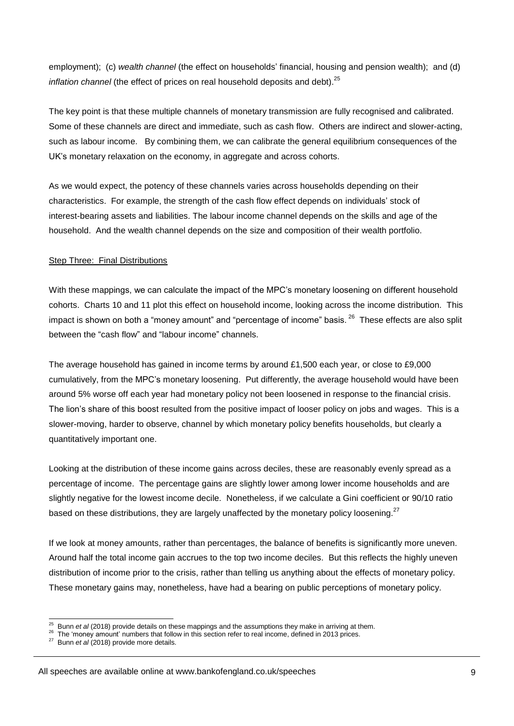employment); (c) *wealth channel* (the effect on households' financial, housing and pension wealth); and (d) *inflation channel* (the effect of prices on real household deposits and debt).<sup>25</sup>

The key point is that these multiple channels of monetary transmission are fully recognised and calibrated. Some of these channels are direct and immediate, such as cash flow. Others are indirect and slower-acting, such as labour income. By combining them, we can calibrate the general equilibrium consequences of the UK's monetary relaxation on the economy, in aggregate and across cohorts.

As we would expect, the potency of these channels varies across households depending on their characteristics. For example, the strength of the cash flow effect depends on individuals' stock of interest-bearing assets and liabilities. The labour income channel depends on the skills and age of the household. And the wealth channel depends on the size and composition of their wealth portfolio.

#### Step Three: Final Distributions

With these mappings, we can calculate the impact of the MPC's monetary loosening on different household cohorts. Charts 10 and 11 plot this effect on household income, looking across the income distribution. This impact is shown on both a "money amount" and "percentage of income" basis. <sup>26</sup> These effects are also split between the "cash flow" and "labour income" channels.

The average household has gained in income terms by around £1,500 each year, or close to £9,000 cumulatively, from the MPC's monetary loosening. Put differently, the average household would have been around 5% worse off each year had monetary policy not been loosened in response to the financial crisis. The lion's share of this boost resulted from the positive impact of looser policy on jobs and wages. This is a slower-moving, harder to observe, channel by which monetary policy benefits households, but clearly a quantitatively important one.

Looking at the distribution of these income gains across deciles, these are reasonably evenly spread as a percentage of income. The percentage gains are slightly lower among lower income households and are slightly negative for the lowest income decile. Nonetheless, if we calculate a Gini coefficient or 90/10 ratio based on these distributions, they are largely unaffected by the monetary policy loosening.<sup>27</sup>

If we look at money amounts, rather than percentages, the balance of benefits is significantly more uneven. Around half the total income gain accrues to the top two income deciles. But this reflects the highly uneven distribution of income prior to the crisis, rather than telling us anything about the effects of monetary policy. These monetary gains may, nonetheless, have had a bearing on public perceptions of monetary policy.

 $\frac{1}{25}$ Bunn *et al* (2018) provide details on these mappings and the assumptions they make in arriving at them.

<sup>&</sup>lt;sup>26</sup> The 'money amount' numbers that follow in this section refer to real income, defined in 2013 prices.<br><sup>27</sup> Punn at al. (2018) provide mare details

Bunn *et al* (2018) provide more details.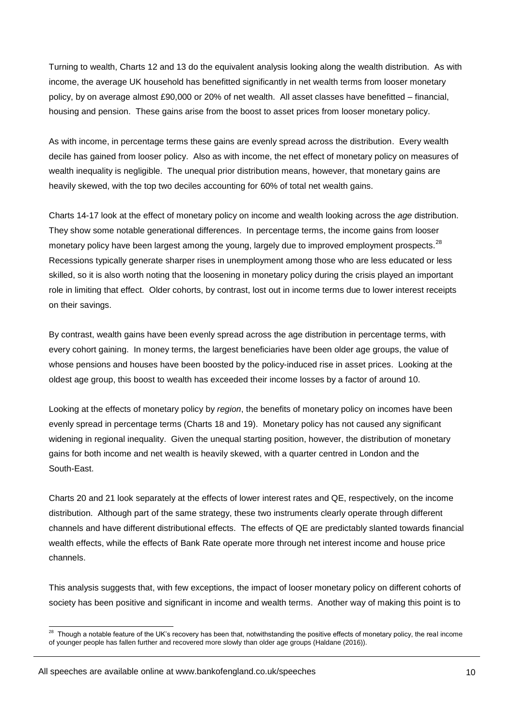Turning to wealth, Charts 12 and 13 do the equivalent analysis looking along the wealth distribution. As with income, the average UK household has benefitted significantly in net wealth terms from looser monetary policy, by on average almost £90,000 or 20% of net wealth. All asset classes have benefitted – financial, housing and pension. These gains arise from the boost to asset prices from looser monetary policy.

As with income, in percentage terms these gains are evenly spread across the distribution. Every wealth decile has gained from looser policy. Also as with income, the net effect of monetary policy on measures of wealth inequality is negligible. The unequal prior distribution means, however, that monetary gains are heavily skewed, with the top two deciles accounting for 60% of total net wealth gains.

Charts 14-17 look at the effect of monetary policy on income and wealth looking across the *age* distribution. They show some notable generational differences. In percentage terms, the income gains from looser monetary policy have been largest among the young, largely due to improved employment prospects.<sup>28</sup> Recessions typically generate sharper rises in unemployment among those who are less educated or less skilled, so it is also worth noting that the loosening in monetary policy during the crisis played an important role in limiting that effect. Older cohorts, by contrast, lost out in income terms due to lower interest receipts on their savings.

By contrast, wealth gains have been evenly spread across the age distribution in percentage terms, with every cohort gaining. In money terms, the largest beneficiaries have been older age groups, the value of whose pensions and houses have been boosted by the policy-induced rise in asset prices. Looking at the oldest age group, this boost to wealth has exceeded their income losses by a factor of around 10.

Looking at the effects of monetary policy by *region*, the benefits of monetary policy on incomes have been evenly spread in percentage terms (Charts 18 and 19). Monetary policy has not caused any significant widening in regional inequality. Given the unequal starting position, however, the distribution of monetary gains for both income and net wealth is heavily skewed, with a quarter centred in London and the South-East.

Charts 20 and 21 look separately at the effects of lower interest rates and QE, respectively, on the income distribution. Although part of the same strategy, these two instruments clearly operate through different channels and have different distributional effects. The effects of QE are predictably slanted towards financial wealth effects, while the effects of Bank Rate operate more through net interest income and house price channels.

This analysis suggests that, with few exceptions, the impact of looser monetary policy on different cohorts of society has been positive and significant in income and wealth terms. Another way of making this point is to

 28 Though a notable feature of the UK's recovery has been that, notwithstanding the positive effects of monetary policy, the real income of younger people has fallen further and recovered more slowly than older age groups (Haldane (2016)).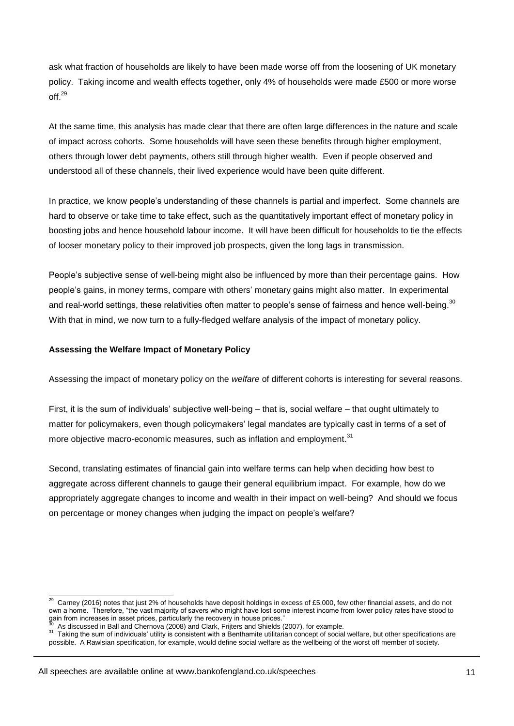ask what fraction of households are likely to have been made worse off from the loosening of UK monetary policy. Taking income and wealth effects together, only 4% of households were made £500 or more worse off.<sup>29</sup>

At the same time, this analysis has made clear that there are often large differences in the nature and scale of impact across cohorts. Some households will have seen these benefits through higher employment, others through lower debt payments, others still through higher wealth. Even if people observed and understood all of these channels, their lived experience would have been quite different.

In practice, we know people's understanding of these channels is partial and imperfect. Some channels are hard to observe or take time to take effect, such as the quantitatively important effect of monetary policy in boosting jobs and hence household labour income. It will have been difficult for households to tie the effects of looser monetary policy to their improved job prospects, given the long lags in transmission.

People's subjective sense of well-being might also be influenced by more than their percentage gains. How people's gains, in money terms, compare with others' monetary gains might also matter. In experimental and real-world settings, these relativities often matter to people's sense of fairness and hence well-being.<sup>30</sup> With that in mind, we now turn to a fully-fledged welfare analysis of the impact of monetary policy.

#### **Assessing the Welfare Impact of Monetary Policy**

Assessing the impact of monetary policy on the *welfare* of different cohorts is interesting for several reasons.

First, it is the sum of individuals' subjective well-being – that is, social welfare – that ought ultimately to matter for policymakers, even though policymakers' legal mandates are typically cast in terms of a set of more objective macro-economic measures, such as inflation and employment.<sup>31</sup>

Second, translating estimates of financial gain into welfare terms can help when deciding how best to aggregate across different channels to gauge their general equilibrium impact. For example, how do we appropriately aggregate changes to income and wealth in their impact on well-being? And should we focus on percentage or money changes when judging the impact on people's welfare?

 29 Carney (2016) notes that just 2% of households have deposit holdings in excess of £5,000, few other financial assets, and do not own a home. Therefore, "the vast majority of savers who might have lost some interest income from lower policy rates have stood to gain from increases in asset prices, particularly the recovery in house prices."<br><sup>30</sup> As discussed in Rell and Charnove (2008) and Clark, Frijtere and Shielde (

As discussed in Ball and Chernova (2008) and Clark, Frijters and Shields (2007), for example.

<sup>&</sup>lt;sup>31</sup> Taking the sum of individuals' utility is consistent with a Benthamite utilitarian concept of social welfare, but other specifications are possible. A Rawlsian specification, for example, would define social welfare as the wellbeing of the worst off member of society.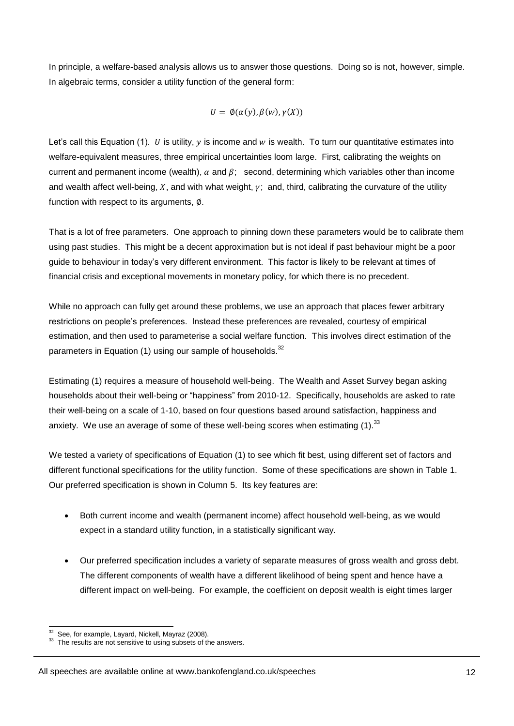In principle, a welfare-based analysis allows us to answer those questions. Doing so is not, however, simple. In algebraic terms, consider a utility function of the general form:

$$
U = \emptyset(\alpha(y), \beta(w), \gamma(X))
$$

Let's call this Equation (1).  $U$  is utility,  $y$  is income and  $w$  is wealth. To turn our quantitative estimates into welfare-equivalent measures, three empirical uncertainties loom large. First, calibrating the weights on current and permanent income (wealth),  $\alpha$  and  $\beta$ ; second, determining which variables other than income and wealth affect well-being, X, and with what weight,  $y$ ; and, third, calibrating the curvature of the utility function with respect to its arguments, ∅.

That is a lot of free parameters. One approach to pinning down these parameters would be to calibrate them using past studies. This might be a decent approximation but is not ideal if past behaviour might be a poor guide to behaviour in today's very different environment. This factor is likely to be relevant at times of financial crisis and exceptional movements in monetary policy, for which there is no precedent.

While no approach can fully get around these problems, we use an approach that places fewer arbitrary restrictions on people's preferences. Instead these preferences are revealed, courtesy of empirical estimation, and then used to parameterise a social welfare function. This involves direct estimation of the parameters in Equation (1) using our sample of households. $32$ 

Estimating (1) requires a measure of household well-being. The Wealth and Asset Survey began asking households about their well-being or "happiness" from 2010-12. Specifically, households are asked to rate their well-being on a scale of 1-10, based on four questions based around satisfaction, happiness and anxiety. We use an average of some of these well-being scores when estimating  $(1).^{33}$ 

We tested a variety of specifications of Equation (1) to see which fit best, using different set of factors and different functional specifications for the utility function. Some of these specifications are shown in Table 1. Our preferred specification is shown in Column 5. Its key features are:

- Both current income and wealth (permanent income) affect household well-being, as we would expect in a standard utility function, in a statistically significant way.
- Our preferred specification includes a variety of separate measures of gross wealth and gross debt. The different components of wealth have a different likelihood of being spent and hence have a different impact on well-being. For example, the coefficient on deposit wealth is eight times larger

<sup>1</sup> 32 See, for example, Layard, Nickell, Mayraz (2008).

<sup>33</sup> The results are not sensitive to using subsets of the answers.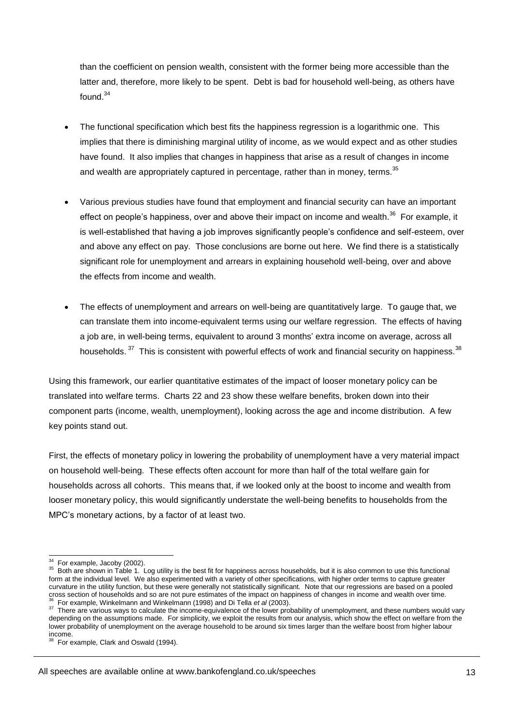than the coefficient on pension wealth, consistent with the former being more accessible than the latter and, therefore, more likely to be spent. Debt is bad for household well-being, as others have found. $34$ 

- The functional specification which best fits the happiness regression is a logarithmic one. This implies that there is diminishing marginal utility of income, as we would expect and as other studies have found. It also implies that changes in happiness that arise as a result of changes in income and wealth are appropriately captured in percentage, rather than in money, terms.<sup>35</sup>
- Various previous studies have found that employment and financial security can have an important effect on people's happiness, over and above their impact on income and wealth.<sup>36</sup> For example, it is well-established that having a job improves significantly people's confidence and self-esteem, over and above any effect on pay. Those conclusions are borne out here. We find there is a statistically significant role for unemployment and arrears in explaining household well-being, over and above the effects from income and wealth.
- The effects of unemployment and arrears on well-being are quantitatively large. To gauge that, we can translate them into income-equivalent terms using our welfare regression. The effects of having a job are, in well-being terms, equivalent to around 3 months' extra income on average, across all households.<sup>37</sup> This is consistent with powerful effects of work and financial security on happiness.<sup>38</sup>

Using this framework, our earlier quantitative estimates of the impact of looser monetary policy can be translated into welfare terms. Charts 22 and 23 show these welfare benefits, broken down into their component parts (income, wealth, unemployment), looking across the age and income distribution. A few key points stand out.

First, the effects of monetary policy in lowering the probability of unemployment have a very material impact on household well-being. These effects often account for more than half of the total welfare gain for households across all cohorts. This means that, if we looked only at the boost to income and wealth from looser monetary policy, this would significantly understate the well-being benefits to households from the MPC's monetary actions, by a factor of at least two.

<sup>1</sup> 34 For example, Jacoby (2002).

 $35$  Both are shown in Table 1. Log utility is the best fit for happiness across households, but it is also common to use this functional form at the individual level. We also experimented with a variety of other specifications, with higher order terms to capture greater curvature in the utility function, but these were generally not statistically significant. Note that our regressions are based on a pooled cross section of households and so are not pure estimates of the impact on happiness of changes in income and wealth over time. 36 For example, Winkelmann and Winkelmann (1998) and Di Tella *et al* (2003).

 $37$  There are various ways to calculate the income-equivalence of the lower probability of unemployment, and these numbers would vary depending on the assumptions made. For simplicity, we exploit the results from our analysis, which show the effect on welfare from the lower probability of unemployment on the average household to be around six times larger than the welfare boost from higher labour income.

<sup>38</sup> For example, Clark and Oswald (1994).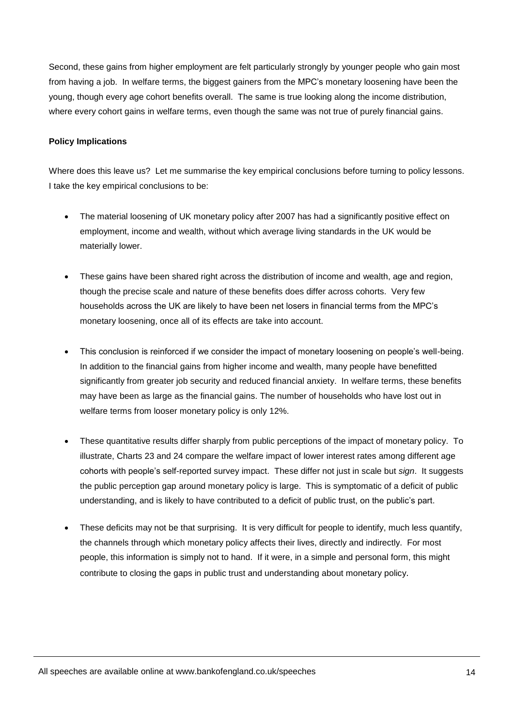Second, these gains from higher employment are felt particularly strongly by younger people who gain most from having a job. In welfare terms, the biggest gainers from the MPC's monetary loosening have been the young, though every age cohort benefits overall. The same is true looking along the income distribution, where every cohort gains in welfare terms, even though the same was not true of purely financial gains.

#### **Policy Implications**

Where does this leave us? Let me summarise the key empirical conclusions before turning to policy lessons. I take the key empirical conclusions to be:

- The material loosening of UK monetary policy after 2007 has had a significantly positive effect on employment, income and wealth, without which average living standards in the UK would be materially lower.
- These gains have been shared right across the distribution of income and wealth, age and region, though the precise scale and nature of these benefits does differ across cohorts. Very few households across the UK are likely to have been net losers in financial terms from the MPC's monetary loosening, once all of its effects are take into account.
- This conclusion is reinforced if we consider the impact of monetary loosening on people's well-being. In addition to the financial gains from higher income and wealth, many people have benefitted significantly from greater job security and reduced financial anxiety. In welfare terms, these benefits may have been as large as the financial gains. The number of households who have lost out in welfare terms from looser monetary policy is only 12%.
- These quantitative results differ sharply from public perceptions of the impact of monetary policy. To illustrate, Charts 23 and 24 compare the welfare impact of lower interest rates among different age cohorts with people's self-reported survey impact. These differ not just in scale but *sign*. It suggests the public perception gap around monetary policy is large. This is symptomatic of a deficit of public understanding, and is likely to have contributed to a deficit of public trust, on the public's part.
- These deficits may not be that surprising. It is very difficult for people to identify, much less quantify, the channels through which monetary policy affects their lives, directly and indirectly. For most people, this information is simply not to hand. If it were, in a simple and personal form, this might contribute to closing the gaps in public trust and understanding about monetary policy.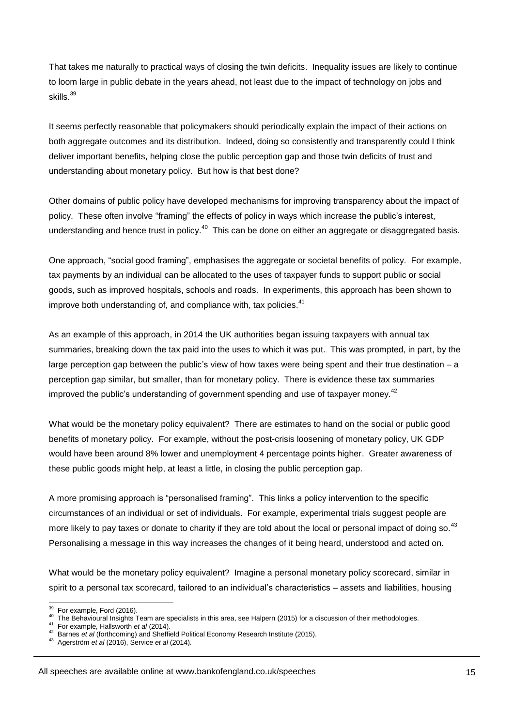That takes me naturally to practical ways of closing the twin deficits. Inequality issues are likely to continue to loom large in public debate in the years ahead, not least due to the impact of technology on jobs and skills.<sup>39</sup>

It seems perfectly reasonable that policymakers should periodically explain the impact of their actions on both aggregate outcomes and its distribution. Indeed, doing so consistently and transparently could I think deliver important benefits, helping close the public perception gap and those twin deficits of trust and understanding about monetary policy. But how is that best done?

Other domains of public policy have developed mechanisms for improving transparency about the impact of policy. These often involve "framing" the effects of policy in ways which increase the public's interest, understanding and hence trust in policy.<sup>40</sup> This can be done on either an aggregate or disaggregated basis.

One approach, "social good framing", emphasises the aggregate or societal benefits of policy. For example, tax payments by an individual can be allocated to the uses of taxpayer funds to support public or social goods, such as improved hospitals, schools and roads. In experiments, this approach has been shown to improve both understanding of, and compliance with, tax policies.<sup>41</sup>

As an example of this approach, in 2014 the UK authorities began issuing taxpayers with annual tax summaries, breaking down the tax paid into the uses to which it was put. This was prompted, in part, by the large perception gap between the public's view of how taxes were being spent and their true destination – a perception gap similar, but smaller, than for monetary policy. There is evidence these tax summaries improved the public's understanding of government spending and use of taxpayer money.<sup>42</sup>

What would be the monetary policy equivalent? There are estimates to hand on the social or public good benefits of monetary policy. For example, without the post-crisis loosening of monetary policy, UK GDP would have been around 8% lower and unemployment 4 percentage points higher. Greater awareness of these public goods might help, at least a little, in closing the public perception gap.

A more promising approach is "personalised framing". This links a policy intervention to the specific circumstances of an individual or set of individuals. For example, experimental trials suggest people are more likely to pay taxes or donate to charity if they are told about the local or personal impact of doing so. $43$ Personalising a message in this way increases the changes of it being heard, understood and acted on.

What would be the monetary policy equivalent? Imagine a personal monetary policy scorecard, similar in spirit to a personal tax scorecard, tailored to an individual's characteristics – assets and liabilities, housing

 $\frac{1}{39}$ For example, Ford (2016).

 $40$  The Behavioural Insights Team are specialists in this area, see Halpern (2015) for a discussion of their methodologies.

<sup>41</sup> For example, Hallsworth *et al* (2014).

<sup>&</sup>lt;sup>42</sup> Barnes et al (forthcoming) and Sheffield Political Economy Research Institute (2015).

<sup>43</sup> Agerström *et al* (2016), Service *et al* (2014).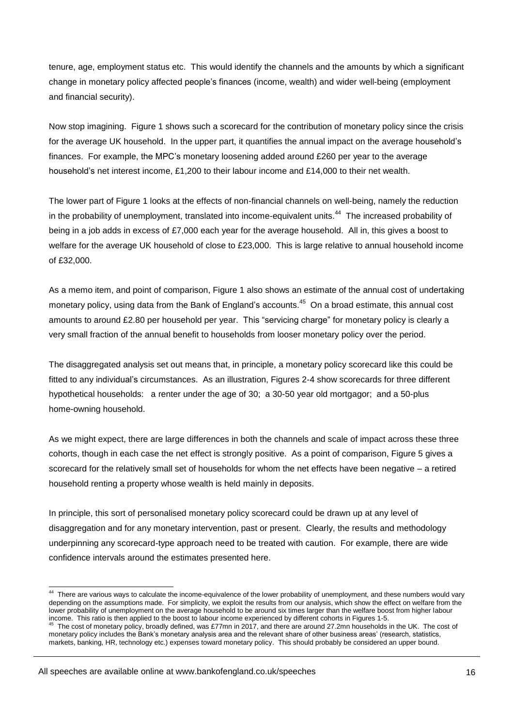tenure, age, employment status etc. This would identify the channels and the amounts by which a significant change in monetary policy affected people's finances (income, wealth) and wider well-being (employment and financial security).

Now stop imagining. Figure 1 shows such a scorecard for the contribution of monetary policy since the crisis for the average UK household. In the upper part, it quantifies the annual impact on the average household's finances. For example, the MPC's monetary loosening added around £260 per year to the average household's net interest income, £1,200 to their labour income and £14,000 to their net wealth.

The lower part of Figure 1 looks at the effects of non-financial channels on well-being, namely the reduction in the probability of unemployment, translated into income-equivalent units.<sup>44</sup> The increased probability of being in a job adds in excess of £7,000 each year for the average household. All in, this gives a boost to welfare for the average UK household of close to £23,000. This is large relative to annual household income of £32,000.

As a memo item, and point of comparison, Figure 1 also shows an estimate of the annual cost of undertaking monetary policy, using data from the Bank of England's accounts.<sup>45</sup> On a broad estimate, this annual cost amounts to around £2.80 per household per year. This "servicing charge" for monetary policy is clearly a very small fraction of the annual benefit to households from looser monetary policy over the period.

The disaggregated analysis set out means that, in principle, a monetary policy scorecard like this could be fitted to any individual's circumstances. As an illustration, Figures 2-4 show scorecards for three different hypothetical households: a renter under the age of 30; a 30-50 year old mortgagor; and a 50-plus home-owning household.

As we might expect, there are large differences in both the channels and scale of impact across these three cohorts, though in each case the net effect is strongly positive. As a point of comparison, Figure 5 gives a scorecard for the relatively small set of households for whom the net effects have been negative – a retired household renting a property whose wealth is held mainly in deposits.

In principle, this sort of personalised monetary policy scorecard could be drawn up at any level of disaggregation and for any monetary intervention, past or present. Clearly, the results and methodology underpinning any scorecard-type approach need to be treated with caution. For example, there are wide confidence intervals around the estimates presented here.

 44 There are various ways to calculate the income-equivalence of the lower probability of unemployment, and these numbers would vary depending on the assumptions made. For simplicity, we exploit the results from our analysis, which show the effect on welfare from the lower probability of unemployment on the average household to be around six times larger than the welfare boost from higher labour income. This ratio is then applied to the boost to labour income experienced by different cohorts in Figures 1-5.<br><sup>45</sup> The cent of manatagy policy, broadly defined, was 577mp in 2017, and there are around 27.2mp bougeholds

The cost of monetary policy, broadly defined, was £77mn in 2017, and there are around 27.2mn households in the UK. The cost of monetary policy includes the Bank's monetary analysis area and the relevant share of other business areas' (research, statistics, markets, banking, HR, technology etc.) expenses toward monetary policy. This should probably be considered an upper bound.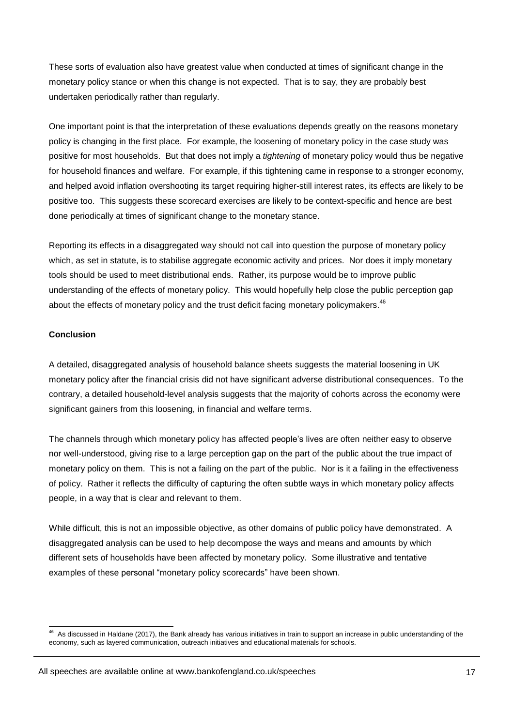These sorts of evaluation also have greatest value when conducted at times of significant change in the monetary policy stance or when this change is not expected. That is to say, they are probably best undertaken periodically rather than regularly.

One important point is that the interpretation of these evaluations depends greatly on the reasons monetary policy is changing in the first place. For example, the loosening of monetary policy in the case study was positive for most households. But that does not imply a *tightening* of monetary policy would thus be negative for household finances and welfare. For example, if this tightening came in response to a stronger economy, and helped avoid inflation overshooting its target requiring higher-still interest rates, its effects are likely to be positive too. This suggests these scorecard exercises are likely to be context-specific and hence are best done periodically at times of significant change to the monetary stance.

Reporting its effects in a disaggregated way should not call into question the purpose of monetary policy which, as set in statute, is to stabilise aggregate economic activity and prices. Nor does it imply monetary tools should be used to meet distributional ends. Rather, its purpose would be to improve public understanding of the effects of monetary policy. This would hopefully help close the public perception gap about the effects of monetary policy and the trust deficit facing monetary policymakers.<sup>46</sup>

#### **Conclusion**

A detailed, disaggregated analysis of household balance sheets suggests the material loosening in UK monetary policy after the financial crisis did not have significant adverse distributional consequences. To the contrary, a detailed household-level analysis suggests that the majority of cohorts across the economy were significant gainers from this loosening, in financial and welfare terms.

The channels through which monetary policy has affected people's lives are often neither easy to observe nor well-understood, giving rise to a large perception gap on the part of the public about the true impact of monetary policy on them. This is not a failing on the part of the public. Nor is it a failing in the effectiveness of policy. Rather it reflects the difficulty of capturing the often subtle ways in which monetary policy affects people, in a way that is clear and relevant to them.

While difficult, this is not an impossible objective, as other domains of public policy have demonstrated. A disaggregated analysis can be used to help decompose the ways and means and amounts by which different sets of households have been affected by monetary policy. Some illustrative and tentative examples of these personal "monetary policy scorecards" have been shown.

<sup>1</sup> 46 As discussed in Haldane (2017), the Bank already has various initiatives in train to support an increase in public understanding of the economy, such as layered communication, outreach initiatives and educational materials for schools.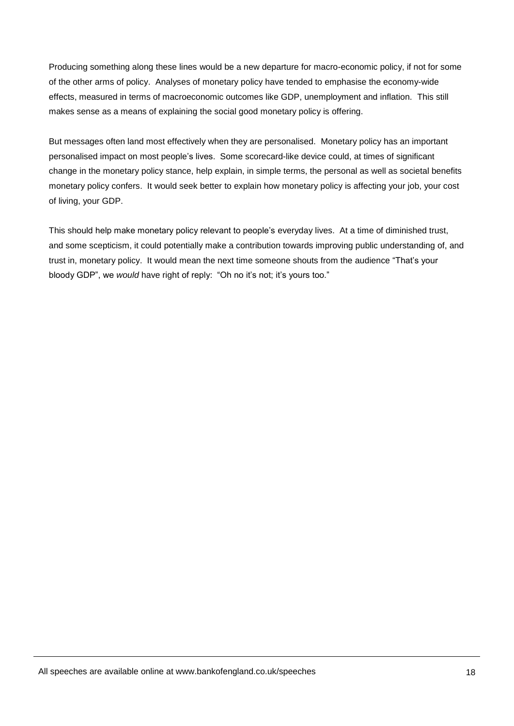Producing something along these lines would be a new departure for macro-economic policy, if not for some of the other arms of policy. Analyses of monetary policy have tended to emphasise the economy-wide effects, measured in terms of macroeconomic outcomes like GDP, unemployment and inflation. This still makes sense as a means of explaining the social good monetary policy is offering.

But messages often land most effectively when they are personalised. Monetary policy has an important personalised impact on most people's lives. Some scorecard-like device could, at times of significant change in the monetary policy stance, help explain, in simple terms, the personal as well as societal benefits monetary policy confers. It would seek better to explain how monetary policy is affecting your job, your cost of living, your GDP.

This should help make monetary policy relevant to people's everyday lives. At a time of diminished trust, and some scepticism, it could potentially make a contribution towards improving public understanding of, and trust in, monetary policy. It would mean the next time someone shouts from the audience "That's your bloody GDP", we *would* have right of reply: "Oh no it's not; it's yours too."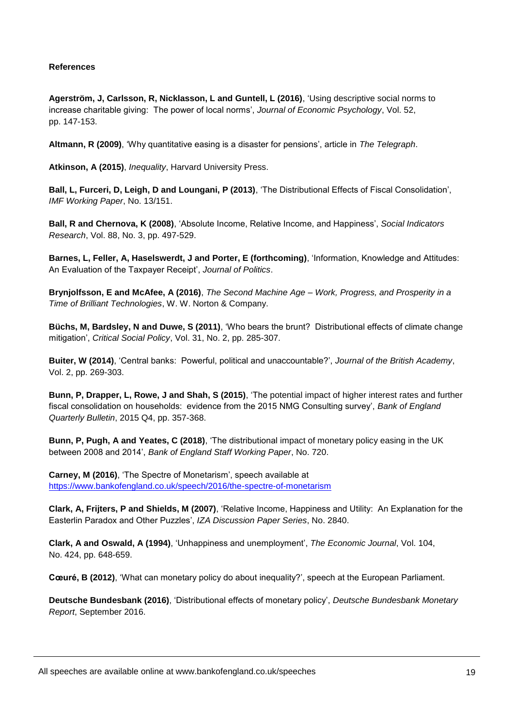#### **References**

**Agerström, J, Carlsson, R, Nicklasson, L and Guntell, L (2016)**, 'Using descriptive social norms to increase charitable giving: The power of local norms', *Journal of Economic Psychology*, Vol. 52, pp. 147-153.

**Altmann, R (2009)**, 'Why quantitative easing is a disaster for pensions', article in *The Telegraph*.

**Atkinson, A (2015)**, *Inequality*, Harvard University Press.

**Ball, L, Furceri, D, Leigh, D and Loungani, P (2013)**, 'The Distributional Effects of Fiscal Consolidation', *IMF Working Paper*, No. 13/151.

**Ball, R and Chernova, K (2008)**, 'Absolute Income, Relative Income, and Happiness', *Social Indicators Research*, Vol. 88, No. 3, pp. 497-529.

**Barnes, L, Feller, A, Haselswerdt, J and Porter, E (forthcoming)**, 'Information, Knowledge and Attitudes: An Evaluation of the Taxpayer Receipt', *Journal of Politics*.

**Brynjolfsson, E and McAfee, A (2016)**, *The Second Machine Age – Work, Progress, and Prosperity in a Time of Brilliant Technologies*, W. W. Norton & Company.

**Büchs, M, Bardsley, N and Duwe, S (2011)**, 'Who bears the brunt? Distributional effects of climate change mitigation', *Critical Social Policy*, Vol. 31, No. 2, pp. 285-307.

**Buiter, W (2014)**, 'Central banks: Powerful, political and unaccountable?', *Journal of the British Academy*, Vol. 2, pp. 269-303.

**Bunn, P, Drapper, L, Rowe, J and Shah, S (2015)**, 'The potential impact of higher interest rates and further fiscal consolidation on households: evidence from the 2015 NMG Consulting survey', *Bank of England Quarterly Bulletin*, 2015 Q4, pp. 357-368.

**Bunn, P, Pugh, A and Yeates, C (2018)**, 'The distributional impact of monetary policy easing in the UK between 2008 and 2014', *Bank of England Staff Working Paper*, No. 720.

**Carney, M (2016)**, 'The Spectre of Monetarism', speech available at <https://www.bankofengland.co.uk/speech/2016/the-spectre-of-monetarism>

**Clark, A, Frijters, P and Shields, M (2007)**, 'Relative Income, Happiness and Utility: An Explanation for the Easterlin Paradox and Other Puzzles', *IZA Discussion Paper Series*, No. 2840.

**Clark, A and Oswald, A (1994)**, 'Unhappiness and unemployment', *The Economic Journal*, Vol. 104, No. 424, pp. 648-659.

**Cœuré, B (2012)**, 'What can monetary policy do about inequality?', speech at the European Parliament.

**Deutsche Bundesbank (2016)**, 'Distributional effects of monetary policy', *Deutsche Bundesbank Monetary Report*, September 2016.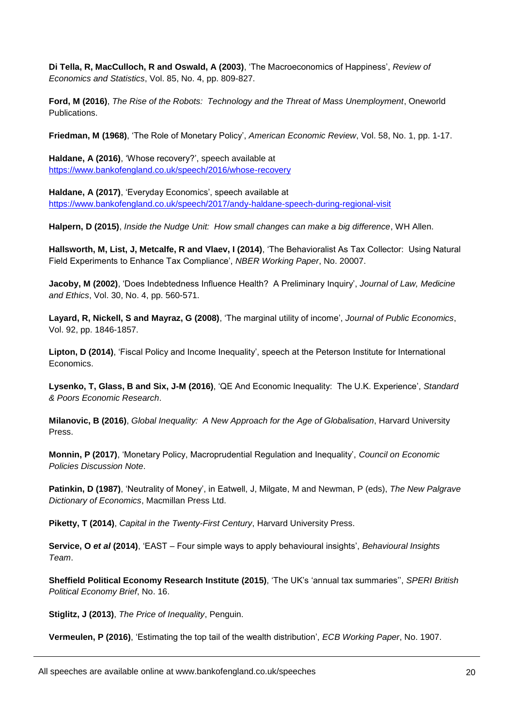**Di Tella, R, MacCulloch, R and Oswald, A (2003)**, 'The Macroeconomics of Happiness', *Review of Economics and Statistics*, Vol. 85, No. 4, pp. 809-827.

**Ford, M (2016)**, *The Rise of the Robots: Technology and the Threat of Mass Unemployment*, Oneworld Publications.

**Friedman, M (1968)**, 'The Role of Monetary Policy', *American Economic Review*, Vol. 58, No. 1, pp. 1-17.

**Haldane, A (2016)**, 'Whose recovery?', speech available at <https://www.bankofengland.co.uk/speech/2016/whose-recovery>

**Haldane, A (2017)**, 'Everyday Economics', speech available at <https://www.bankofengland.co.uk/speech/2017/andy-haldane-speech-during-regional-visit>

**Halpern, D (2015)**, *Inside the Nudge Unit: How small changes can make a big difference*, WH Allen.

**Hallsworth, M, List, J, Metcalfe, R and Vlaev, I (2014)**, 'The Behavioralist As Tax Collector: Using Natural Field Experiments to Enhance Tax Compliance', *NBER Working Paper*, No. 20007.

**Jacoby, M (2002)**, 'Does Indebtedness Influence Health? A Preliminary Inquiry', *Journal of Law, Medicine and Ethics*, Vol. 30, No. 4, pp. 560-571.

**Layard, R, Nickell, S and Mayraz, G (2008)**, 'The marginal utility of income', *Journal of Public Economics*, Vol. 92, pp. 1846-1857.

**Lipton, D (2014)**, 'Fiscal Policy and Income Inequality', speech at the Peterson Institute for International Economics.

**Lysenko, T, Glass, B and Six, J-M (2016)**, 'QE And Economic Inequality: The U.K. Experience', *Standard & Poors Economic Research*.

**Milanovic, B (2016)**, *Global Inequality: A New Approach for the Age of Globalisation*, Harvard University Press.

**Monnin, P (2017)**, 'Monetary Policy, Macroprudential Regulation and Inequality', *Council on Economic Policies Discussion Note*.

**Patinkin, D (1987)**, 'Neutrality of Money', in Eatwell, J, Milgate, M and Newman, P (eds), *The New Palgrave Dictionary of Economics*, Macmillan Press Ltd.

**Piketty, T (2014)**, *Capital in the Twenty-First Century*, Harvard University Press.

**Service, O** *et al* **(2014)**, 'EAST – Four simple ways to apply behavioural insights', *Behavioural Insights Team*.

**Sheffield Political Economy Research Institute (2015)**, 'The UK's 'annual tax summaries'', *SPERI British Political Economy Brief*, No. 16.

**Stiglitz, J (2013)**, *The Price of Inequality*, Penguin.

**Vermeulen, P (2016)**, 'Estimating the top tail of the wealth distribution', *ECB Working Paper*, No. 1907.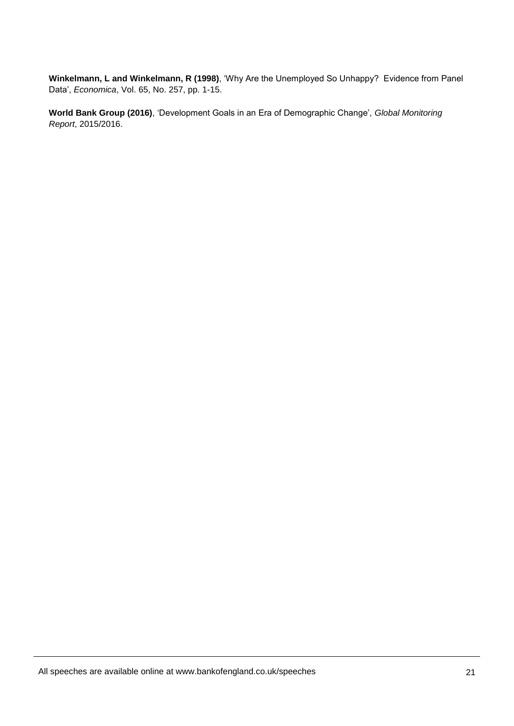**Winkelmann, L and Winkelmann, R (1998)**, 'Why Are the Unemployed So Unhappy? Evidence from Panel Data', *Economica*, Vol. 65, No. 257, pp. 1-15.

**World Bank Group (2016)**, 'Development Goals in an Era of Demographic Change', *Global Monitoring Report*, 2015/2016.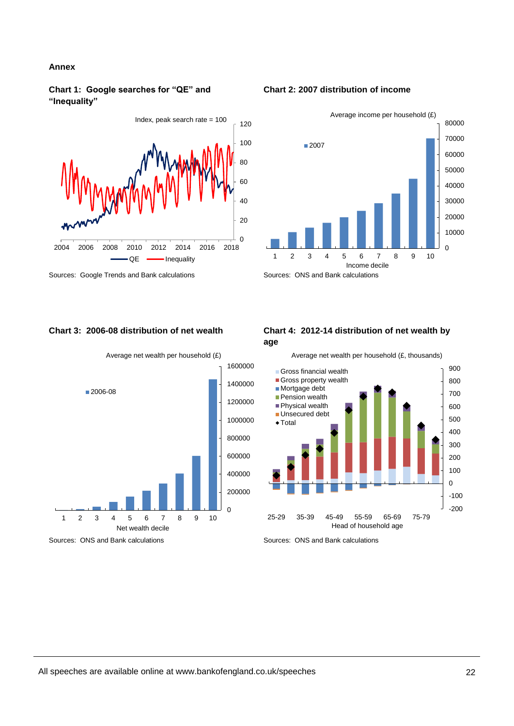#### **Annex**

#### **Chart 1: Google searches for "QE" and "Inequality"**





#### **Chart 3: 2006-08 distribution of net wealth Chart 4: 2012-14 distribution of net wealth by age**



#### **Chart 2: 2007 distribution of income**

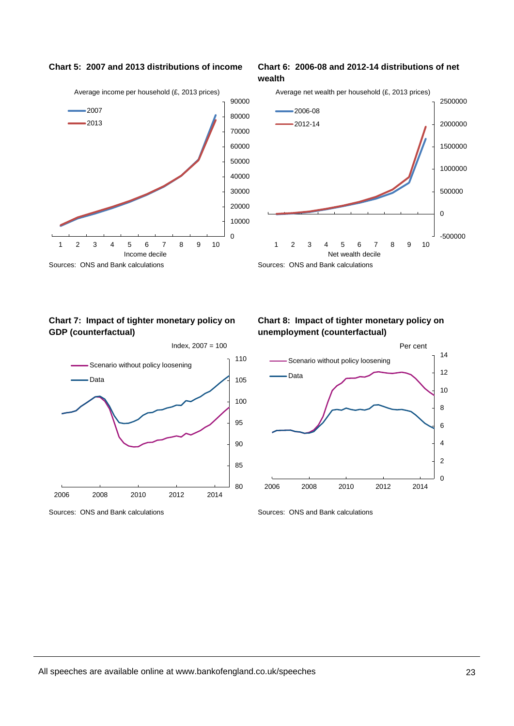



# **wealth**



#### **Chart 7: Impact of tighter monetary policy on GDP (counterfactual)**



**Chart 8: Impact of tighter monetary policy on unemployment (counterfactual)**



Sources: ONS and Bank calculations Sources: ONS and Bank calculations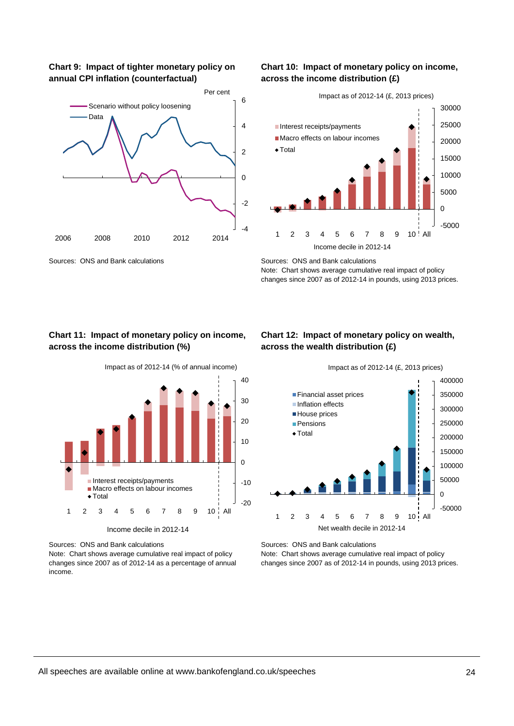#### **Chart 9: Impact of tighter monetary policy on annual CPI inflation (counterfactual)**



#### **Chart 10: Impact of monetary policy on income, across the income distribution (£)**



Sources: ONS and Bank calculations Sources: ONS and Bank calculations

Note: Chart shows average cumulative real impact of policy changes since 2007 as of 2012-14 in pounds, using 2013 prices.

#### **Chart 11: Impact of monetary policy on income, across the income distribution (%)**



Sources: ONS and Bank calculations

Note: Chart shows average cumulative real impact of policy changes since 2007 as of 2012-14 as a percentage of annual income.

### **Chart 12: Impact of monetary policy on wealth, across the wealth distribution (£)**

Impact as of 2012-14 (£, 2013 prices)



Sources: ONS and Bank calculations

Note: Chart shows average cumulative real impact of policy changes since 2007 as of 2012-14 in pounds, using 2013 prices.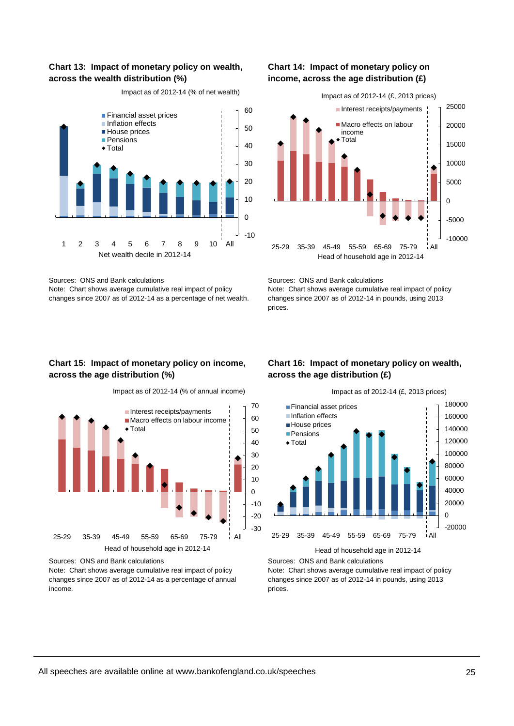#### **Chart 13: Impact of monetary policy on wealth, across the wealth distribution (%)**



Impact as of 2012-14 (% of net wealth)

#### **Chart 14: Impact of monetary policy on income, across the age distribution (£)**



Sources: ONS and Bank calculations

Note: Chart shows average cumulative real impact of policy changes since 2007 as of 2012-14 as a percentage of net wealth.

#### Sources: ONS and Bank calculations

Note: Chart shows average cumulative real impact of policy changes since 2007 as of 2012-14 in pounds, using 2013 prices.

#### **Chart 15: Impact of monetary policy on income, across the age distribution (%)**

Impact as of 2012-14 (% of annual income)



Sources: ONS and Bank calculations

Note: Chart shows average cumulative real impact of policy changes since 2007 as of 2012-14 as a percentage of annual income.

#### **Chart 16: Impact of monetary policy on wealth, across the age distribution (£)**



Head of household age in 2012-14

Sources: ONS and Bank calculations

Note: Chart shows average cumulative real impact of policy changes since 2007 as of 2012-14 in pounds, using 2013 prices.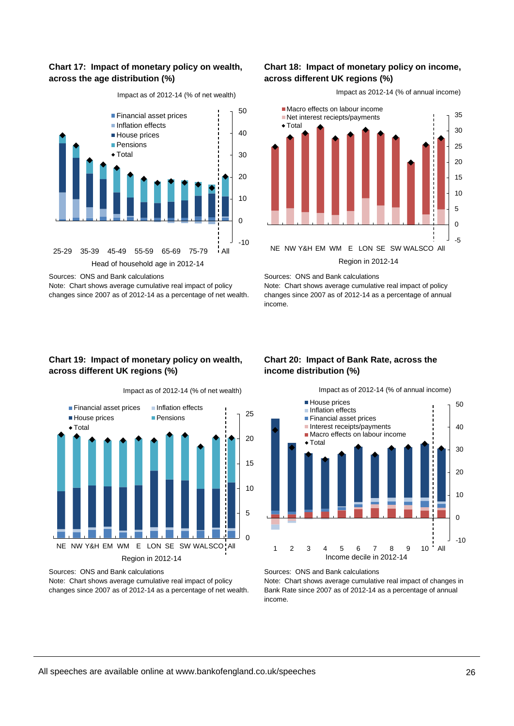#### **Chart 17: Impact of monetary policy on wealth, across the age distribution (%)**



Impact as of 2012-14 (% of net wealth)

#### **Chart 18: Impact of monetary policy on income, across different UK regions (%)**

Impact as 2012-14 (% of annual income)



Sources: ONS and Bank calculations

Note: Chart shows average cumulative real impact of policy changes since 2007 as of 2012-14 as a percentage of annual income.

# **Chart 19: Impact of monetary policy on wealth,**

**across different UK regions (%)**

Note: Chart shows average cumulative real impact of policy changes since 2007 as of 2012-14 as a percentage of net wealth.

 $\overline{0}$ 5 10 15 20 25 NE NW Y&H EM WM E LON SE SW WALSCO All  $\blacksquare$  Financial asset prices  $\blacksquare$  Inflation effects ■ House prices Pensions ◆ Total Impact as of 2012-14 (% of net wealth) Region in 2012-14

Sources: ONS and Bank calculations Note: Chart shows average cumulative real impact of policy changes since 2007 as of 2012-14 as a percentage of net wealth.

#### **Chart 20: Impact of Bank Rate, across the income distribution (%)**



Sources: ONS and Bank calculations

Note: Chart shows average cumulative real impact of changes in Bank Rate since 2007 as of 2012-14 as a percentage of annual income.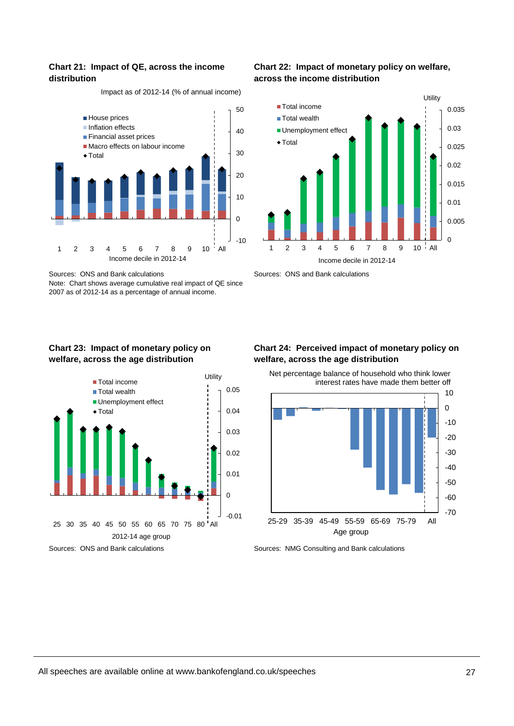#### **Chart 21: Impact of QE, across the income distribution**

Impact as of 2012-14 (% of annual income)



Sources: ONS and Bank calculations

Note: Chart shows average cumulative real impact of QE since 2007 as of 2012-14 as a percentage of annual income.

#### **Chart 22: Impact of monetary policy on welfare, across the income distribution**





#### **Chart 23: Impact of monetary policy on welfare, across the age distribution**



#### **Chart 24: Perceived impact of monetary policy on welfare, across the age distribution**

Net percentage balance of household who think lower interest rates have made them better off

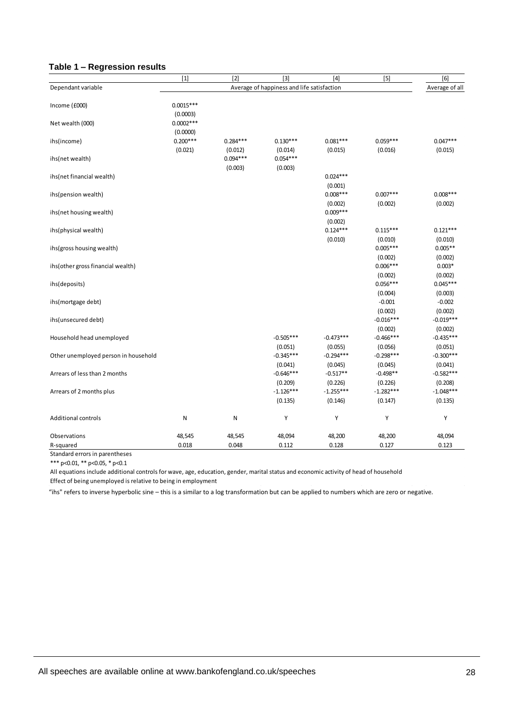#### **Table 1 – Regression results**

|                                      | $[1]$       | $[2]$      | $[3]$                                      | $[4]$       | $[5]$       | [6]            |
|--------------------------------------|-------------|------------|--------------------------------------------|-------------|-------------|----------------|
| Dependant variable                   |             |            | Average of happiness and life satisfaction |             |             | Average of all |
|                                      |             |            |                                            |             |             |                |
| Income (£000)                        | $0.0015***$ |            |                                            |             |             |                |
|                                      | (0.0003)    |            |                                            |             |             |                |
| Net wealth (000)                     | $0.0002***$ |            |                                            |             |             |                |
|                                      | (0.0000)    |            |                                            |             |             |                |
| ihs(income)                          | $0.200***$  | $0.284***$ | $0.130***$                                 | $0.081***$  | $0.059***$  | $0.047***$     |
|                                      | (0.021)     | (0.012)    | (0.014)                                    | (0.015)     | (0.016)     | (0.015)        |
| ihs(net wealth)                      |             | $0.094***$ | $0.054***$                                 |             |             |                |
|                                      |             | (0.003)    | (0.003)                                    |             |             |                |
| ihs(net financial wealth)            |             |            |                                            | $0.024***$  |             |                |
|                                      |             |            |                                            | (0.001)     |             |                |
| ihs(pension wealth)                  |             |            |                                            | $0.008***$  | $0.007***$  | $0.008***$     |
|                                      |             |            |                                            | (0.002)     | (0.002)     | (0.002)        |
| ihs(net housing wealth)              |             |            |                                            | $0.009***$  |             |                |
|                                      |             |            |                                            | (0.002)     |             |                |
| ihs(physical wealth)                 |             |            |                                            | $0.124***$  | $0.115***$  | $0.121***$     |
|                                      |             |            |                                            | (0.010)     | (0.010)     | (0.010)        |
| ihs(gross housing wealth)            |             |            |                                            |             | $0.005***$  | $0.005**$      |
|                                      |             |            |                                            |             | (0.002)     | (0.002)        |
| ihs(other gross financial wealth)    |             |            |                                            |             | $0.006***$  | $0.003*$       |
|                                      |             |            |                                            |             | (0.002)     | (0.002)        |
| ihs(deposits)                        |             |            |                                            |             | $0.056***$  | $0.045***$     |
|                                      |             |            |                                            |             | (0.004)     | (0.003)        |
| ihs(mortgage debt)                   |             |            |                                            |             | $-0.001$    | $-0.002$       |
|                                      |             |            |                                            |             | (0.002)     | (0.002)        |
| ihs(unsecured debt)                  |             |            |                                            |             | $-0.016***$ | $-0.019***$    |
|                                      |             |            |                                            |             | (0.002)     | (0.002)        |
| Household head unemployed            |             |            | $-0.505***$                                | $-0.473***$ | $-0.466***$ | $-0.435***$    |
|                                      |             |            | (0.051)                                    | (0.055)     | (0.056)     | (0.051)        |
| Other unemployed person in household |             |            | $-0.345***$                                | $-0.294***$ | $-0.298***$ | $-0.300***$    |
|                                      |             |            | (0.041)                                    | (0.045)     | (0.045)     | (0.041)        |
| Arrears of less than 2 months        |             |            | $-0.646***$                                | $-0.517**$  | $-0.498**$  | $-0.582***$    |
|                                      |             |            | (0.209)                                    | (0.226)     | (0.226)     | (0.208)        |
| Arrears of 2 months plus             |             |            | $-1.126***$                                | $-1.255***$ | $-1.282***$ | $-1.048***$    |
|                                      |             |            | (0.135)                                    | (0.146)     | (0.147)     | (0.135)        |
|                                      |             |            |                                            |             |             |                |
| <b>Additional controls</b>           | N           | N          | Υ                                          | Υ           | Υ           | Υ              |
| Observations                         | 48,545      | 48,545     | 48,094                                     | 48,200      | 48,200      | 48,094         |
| R-squared                            | 0.018       | 0.048      | 0.112                                      | 0.128       | 0.127       | 0.123          |

Standard errors in parentheses

\*\*\* p<0.01, \*\* p<0.05, \* p<0.1

All equations include additional controls for wave, age, education, gender, marital status and economic activity of head of household

Effect of being unemployed is relative to being in employment

"ihs" refers to inverse hyperbolic sine – this is a similar to a log transformation but can be applied to numbers which are zero or negative.